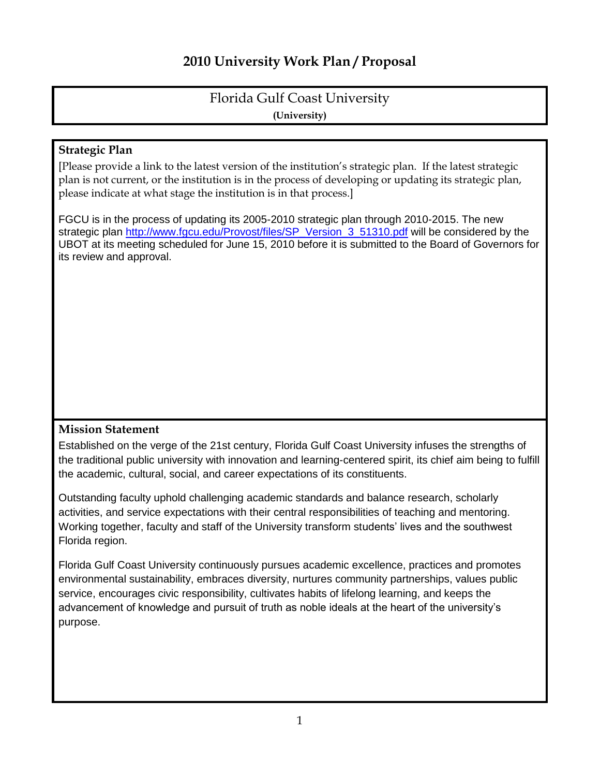# **2010 University Work Plan / Proposal**

## Florida Gulf Coast University **(University)**

### **Strategic Plan**

[Please provide a link to the latest version of the institution's strategic plan. If the latest strategic plan is not current, or the institution is in the process of developing or updating its strategic plan, please indicate at what stage the institution is in that process.]

FGCU is in the process of updating its 2005-2010 strategic plan through 2010-2015. The new strategic plan [http://www.fgcu.edu/Provost/files/SP\\_Version\\_3\\_51310.pdf](http://www.fgcu.edu/Provost/files/SP_Version_3_51310.pdf) will be considered by the UBOT at its meeting scheduled for June 15, 2010 before it is submitted to the Board of Governors for its review and approval.

### **Mission Statement**

Established on the verge of the 21st century, Florida Gulf Coast University infuses the strengths of the traditional public university with innovation and learning-centered spirit, its chief aim being to fulfill the academic, cultural, social, and career expectations of its constituents.

Outstanding faculty uphold challenging academic standards and balance research, scholarly activities, and service expectations with their central responsibilities of teaching and mentoring. Working together, faculty and staff of the University transform students' lives and the southwest Florida region.

Florida Gulf Coast University continuously pursues academic excellence, practices and promotes environmental sustainability, embraces diversity, nurtures community partnerships, values public service, encourages civic responsibility, cultivates habits of lifelong learning, and keeps the advancement of knowledge and pursuit of truth as noble ideals at the heart of the university's purpose.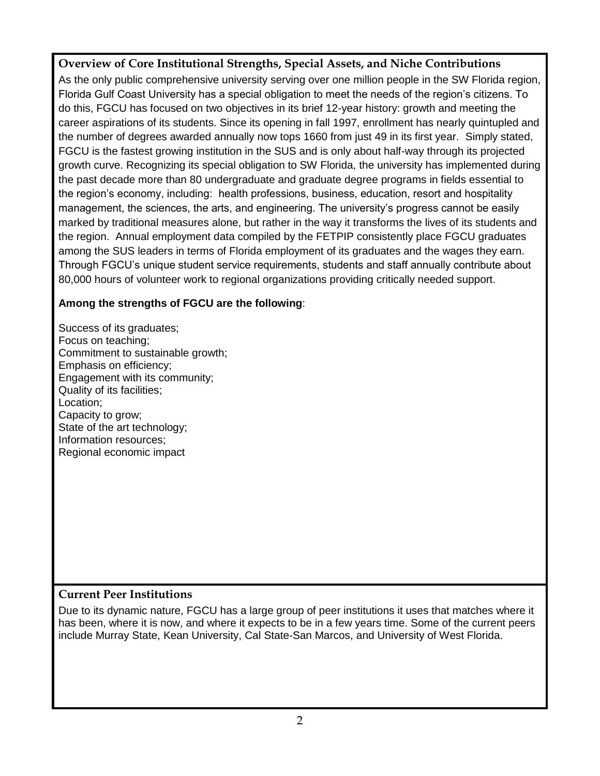**Overview of Core Institutional Strengths, Special Assets, and Niche Contributions**

As the only public comprehensive university serving over one million people in the SW Florida region, Florida Gulf Coast University has a special obligation to meet the needs of the region's citizens. To do this, FGCU has focused on two objectives in its brief 12-year history: growth and meeting the career aspirations of its students. Since its opening in fall 1997, enrollment has nearly quintupled and the number of degrees awarded annually now tops 1660 from just 49 in its first year. Simply stated, FGCU is the fastest growing institution in the SUS and is only about half-way through its projected growth curve. Recognizing its special obligation to SW Florida, the university has implemented during the past decade more than 80 undergraduate and graduate degree programs in fields essential to the region's economy, including: health professions, business, education, resort and hospitality management, the sciences, the arts, and engineering. The university's progress cannot be easily marked by traditional measures alone, but rather in the way it transforms the lives of its students and the region. Annual employment data compiled by the FETPIP consistently place FGCU graduates among the SUS leaders in terms of Florida employment of its graduates and the wages they earn. Through FGCU's unique student service requirements, students and staff annually contribute about 80,000 hours of volunteer work to regional organizations providing critically needed support.

## **Among the strengths of FGCU are the following**:

Success of its graduates; Focus on teaching; Commitment to sustainable growth; Emphasis on efficiency; Engagement with its community; Quality of its facilities; Location; Capacity to grow; State of the art technology; Information resources; Regional economic impact

## **Current Peer Institutions**

Due to its dynamic nature, FGCU has a large group of peer institutions it uses that matches where it has been, where it is now, and where it expects to be in a few years time. Some of the current peers include Murray State, Kean University, Cal State-San Marcos, and University of West Florida.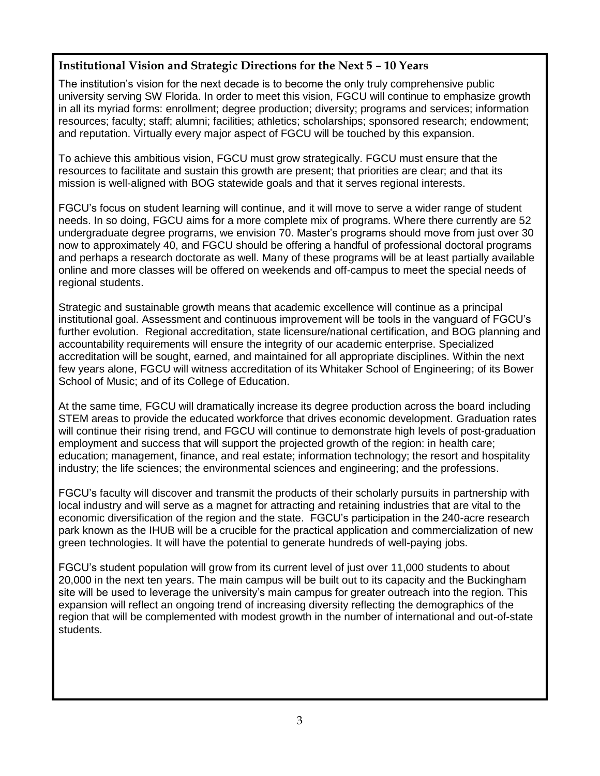### **Institutional Vision and Strategic Directions for the Next 5 – 10 Years**

The institution's vision for the next decade is to become the only truly comprehensive public university serving SW Florida. In order to meet this vision, FGCU will continue to emphasize growth in all its myriad forms: enrollment; degree production; diversity; programs and services; information resources; faculty; staff; alumni; facilities; athletics; scholarships; sponsored research; endowment; and reputation. Virtually every major aspect of FGCU will be touched by this expansion.

To achieve this ambitious vision, FGCU must grow strategically. FGCU must ensure that the resources to facilitate and sustain this growth are present; that priorities are clear; and that its mission is well-aligned with BOG statewide goals and that it serves regional interests.

FGCU's focus on student learning will continue, and it will move to serve a wider range of student needs. In so doing, FGCU aims for a more complete mix of programs. Where there currently are 52 undergraduate degree programs, we envision 70. Master's programs should move from just over 30 now to approximately 40, and FGCU should be offering a handful of professional doctoral programs and perhaps a research doctorate as well. Many of these programs will be at least partially available online and more classes will be offered on weekends and off-campus to meet the special needs of regional students.

Strategic and sustainable growth means that academic excellence will continue as a principal institutional goal. Assessment and continuous improvement will be tools in the vanguard of FGCU's further evolution. Regional accreditation, state licensure/national certification, and BOG planning and accountability requirements will ensure the integrity of our academic enterprise. Specialized accreditation will be sought, earned, and maintained for all appropriate disciplines. Within the next few years alone, FGCU will witness accreditation of its Whitaker School of Engineering; of its Bower School of Music; and of its College of Education.

At the same time, FGCU will dramatically increase its degree production across the board including STEM areas to provide the educated workforce that drives economic development. Graduation rates will continue their rising trend, and FGCU will continue to demonstrate high levels of post-graduation employment and success that will support the projected growth of the region: in health care; education; management, finance, and real estate; information technology; the resort and hospitality industry; the life sciences; the environmental sciences and engineering; and the professions.

FGCU's faculty will discover and transmit the products of their scholarly pursuits in partnership with local industry and will serve as a magnet for attracting and retaining industries that are vital to the economic diversification of the region and the state. FGCU's participation in the 240-acre research park known as the IHUB will be a crucible for the practical application and commercialization of new green technologies. It will have the potential to generate hundreds of well-paying jobs.

FGCU's student population will grow from its current level of just over 11,000 students to about 20,000 in the next ten years. The main campus will be built out to its capacity and the Buckingham site will be used to leverage the university's main campus for greater outreach into the region. This expansion will reflect an ongoing trend of increasing diversity reflecting the demographics of the region that will be complemented with modest growth in the number of international and out-of-state students.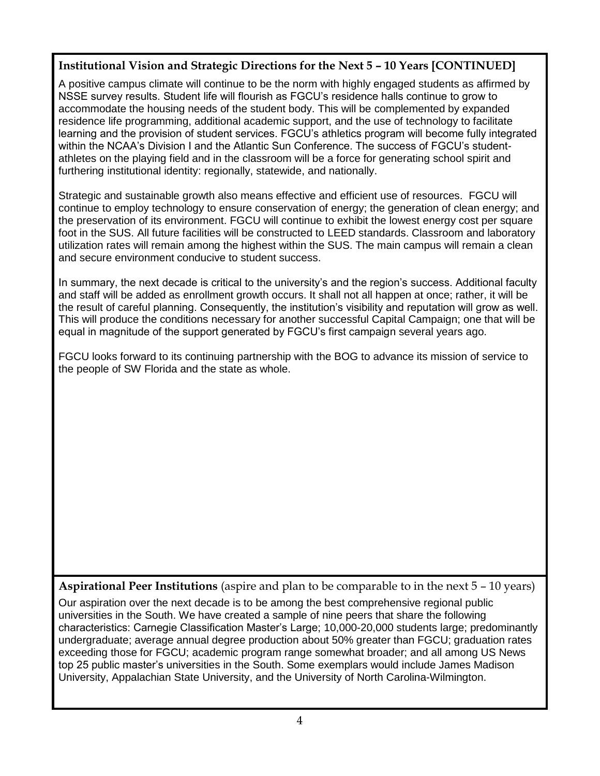## **Institutional Vision and Strategic Directions for the Next 5 – 10 Years [CONTINUED]**

A positive campus climate will continue to be the norm with highly engaged students as affirmed by NSSE survey results. Student life will flourish as FGCU's residence halls continue to grow to accommodate the housing needs of the student body. This will be complemented by expanded residence life programming, additional academic support, and the use of technology to facilitate learning and the provision of student services. FGCU's athletics program will become fully integrated within the NCAA's Division I and the Atlantic Sun Conference. The success of FGCU's studentathletes on the playing field and in the classroom will be a force for generating school spirit and furthering institutional identity: regionally, statewide, and nationally.

Strategic and sustainable growth also means effective and efficient use of resources. FGCU will continue to employ technology to ensure conservation of energy; the generation of clean energy; and the preservation of its environment. FGCU will continue to exhibit the lowest energy cost per square foot in the SUS. All future facilities will be constructed to LEED standards. Classroom and laboratory utilization rates will remain among the highest within the SUS. The main campus will remain a clean and secure environment conducive to student success.

In summary, the next decade is critical to the university's and the region's success. Additional faculty and staff will be added as enrollment growth occurs. It shall not all happen at once; rather, it will be the result of careful planning. Consequently, the institution's visibility and reputation will grow as well. This will produce the conditions necessary for another successful Capital Campaign; one that will be equal in magnitude of the support generated by FGCU's first campaign several years ago.

FGCU looks forward to its continuing partnership with the BOG to advance its mission of service to the people of SW Florida and the state as whole.

**Aspirational Peer Institutions** (aspire and plan to be comparable to in the next 5 – 10 years)

Our aspiration over the next decade is to be among the best comprehensive regional public universities in the South. We have created a sample of nine peers that share the following characteristics: Carnegie Classification Master's Large; 10,000-20,000 students large; predominantly undergraduate; average annual degree production about 50% greater than FGCU; graduation rates exceeding those for FGCU; academic program range somewhat broader; and all among US News top 25 public master's universities in the South. Some exemplars would include James Madison University, Appalachian State University, and the University of North Carolina-Wilmington.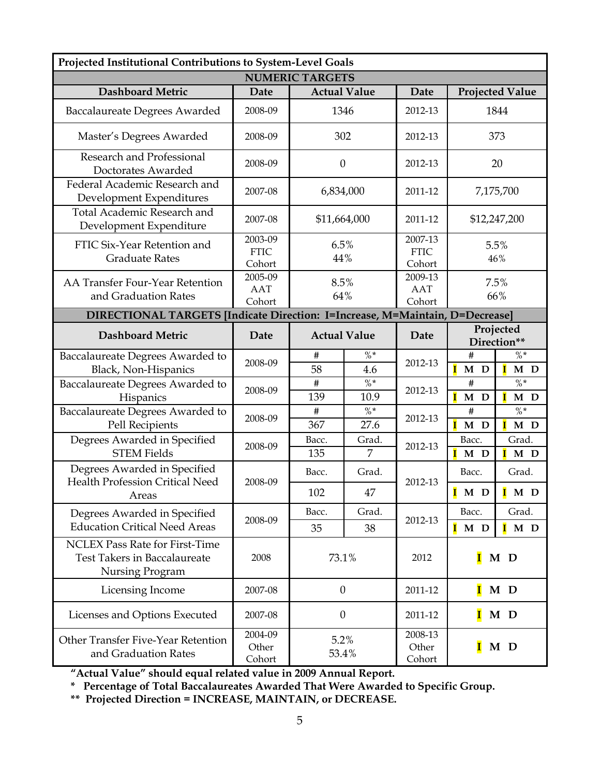| Projected Institutional Contributions to System-Level Goals                                     |                                  |                             |                         |                                  |                                  |                                            |
|-------------------------------------------------------------------------------------------------|----------------------------------|-----------------------------|-------------------------|----------------------------------|----------------------------------|--------------------------------------------|
| <b>NUMERIC TARGETS</b>                                                                          |                                  |                             |                         |                                  |                                  |                                            |
| <b>Dashboard Metric</b>                                                                         | Date                             | <b>Actual Value</b>         |                         | Date                             |                                  | <b>Projected Value</b>                     |
| <b>Baccalaureate Degrees Awarded</b>                                                            | 2008-09                          | 1346                        |                         | 2012-13                          |                                  | 1844                                       |
| Master's Degrees Awarded                                                                        | 2008-09                          | 302                         |                         | 2012-13                          |                                  | 373                                        |
| Research and Professional<br>Doctorates Awarded                                                 | 2008-09                          | $\theta$                    |                         | 2012-13                          | 20                               |                                            |
| Federal Academic Research and<br>Development Expenditures                                       | 2007-08                          | 6,834,000                   |                         | 2011-12                          |                                  | 7,175,700                                  |
| Total Academic Research and<br>Development Expenditure                                          | 2007-08                          | \$11,664,000                |                         | 2011-12                          |                                  | \$12,247,200                               |
| FTIC Six-Year Retention and<br><b>Graduate Rates</b>                                            | 2003-09<br><b>FTIC</b><br>Cohort | 6.5%<br>44%                 |                         | 2007-13<br><b>FTIC</b><br>Cohort |                                  | 5.5%<br>46%                                |
| AA Transfer Four-Year Retention<br>and Graduation Rates                                         | 2005-09<br>AAT<br>Cohort         | 8.5%<br>64%                 |                         | 2009-13<br><b>AAT</b><br>Cohort  | 7.5%<br>66%                      |                                            |
| DIRECTIONAL TARGETS [Indicate Direction: I=Increase, M=Maintain, D=Decrease]                    |                                  |                             |                         |                                  |                                  |                                            |
| <b>Dashboard Metric</b>                                                                         | Date                             | <b>Actual Value</b><br>Date |                         |                                  | Projected<br>Direction**         |                                            |
| Baccalaureate Degrees Awarded to<br>Black, Non-Hispanics                                        | 2008-09                          | $\#$<br>58                  | $\% *$<br>4.6           | 2012-13                          | #<br>$\overline{\mathbf{I}}$ M D | $\% *$<br>$\mathbf{I}$<br>M D              |
| Baccalaureate Degrees Awarded to<br>Hispanics                                                   | 2008-09                          | $\#$<br>139                 | $\% *$<br>10.9          | 2012-13                          | $\#$<br>Ī<br>$\mathbf M$<br>D    | $\% *$<br>$\overline{\mathbf{I}}$<br>$M$ D |
| Baccalaureate Degrees Awarded to<br>Pell Recipients                                             | 2008-09                          | $\#$<br>367                 | $\frac{0}{0}$ *<br>27.6 | 2012-13                          | #<br>$I$ M D                     | $\frac{0}{6}$ *<br>$I$ M D                 |
| Degrees Awarded in Specified<br><b>STEM Fields</b>                                              | 2008-09                          | Bacc.<br>135                | Grad.<br>7              | 2012-13                          | Bacc.<br>Т<br>M D                | Grad.<br>$I$ M D                           |
| Degrees Awarded in Specified                                                                    |                                  | Bacc.                       | Grad.                   |                                  | Bacc.                            | Grad.                                      |
| <b>Health Profession Critical Need</b><br>Areas                                                 | 2008-09                          | 102                         | 47                      | 2012-13                          | $\overline{I}$ M D               | $I \t M$ D                                 |
| Degrees Awarded in Specified                                                                    | 2008-09                          | Bacc.                       | Grad.                   |                                  | Bacc.                            | Grad.                                      |
| <b>Education Critical Need Areas</b>                                                            |                                  | 35                          | 38                      | 2012-13                          | I<br>M D                         | $\mathbf I$ M D                            |
| <b>NCLEX Pass Rate for First-Time</b><br><b>Test Takers in Baccalaureate</b><br>Nursing Program | 2008                             | 73.1%                       |                         | 2012                             | $\mathbf I$<br>M D               |                                            |
| Licensing Income                                                                                | 2007-08                          | $\theta$                    |                         | 2011-12                          |                                  | $\blacksquare$ M D                         |
| Licenses and Options Executed                                                                   | 2007-08                          | $\theta$                    |                         | 2011-12                          | I                                | M D                                        |
| Other Transfer Five-Year Retention<br>and Graduation Rates                                      | 2004-09<br>Other<br>Cohort       | 5.2%<br>53.4%               |                         | 2008-13<br>Other<br>Cohort       | I                                | M D                                        |

**"Actual Value" should equal related value in 2009 Annual Report.**

**\* Percentage of Total Baccalaureates Awarded That Were Awarded to Specific Group.**

**\*\* Projected Direction = INCREASE, MAINTAIN, or DECREASE.**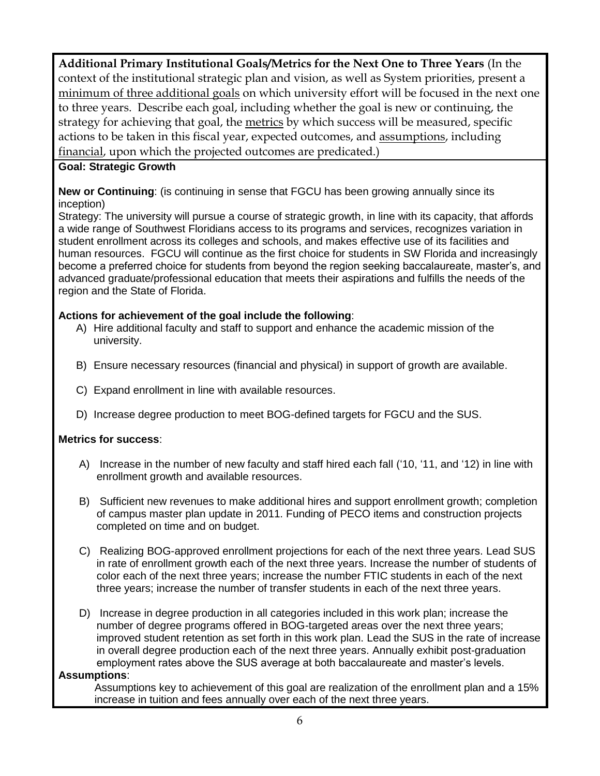**Additional Primary Institutional Goals/Metrics for the Next One to Three Years** (In the context of the institutional strategic plan and vision, as well as System priorities, present a minimum of three additional goals on which university effort will be focused in the next one to three years. Describe each goal, including whether the goal is new or continuing, the strategy for achieving that goal, the metrics by which success will be measured, specific actions to be taken in this fiscal year, expected outcomes, and assumptions, including financial, upon which the projected outcomes are predicated.)

### **Goal: Strategic Growth**

**New or Continuing**: (is continuing in sense that FGCU has been growing annually since its inception)

Strategy: The university will pursue a course of strategic growth, in line with its capacity, that affords a wide range of Southwest Floridians access to its programs and services, recognizes variation in student enrollment across its colleges and schools, and makes effective use of its facilities and human resources. FGCU will continue as the first choice for students in SW Florida and increasingly become a preferred choice for students from beyond the region seeking baccalaureate, master's, and advanced graduate/professional education that meets their aspirations and fulfills the needs of the region and the State of Florida.

### **Actions for achievement of the goal include the following**:

- A) Hire additional faculty and staff to support and enhance the academic mission of the university.
- B) Ensure necessary resources (financial and physical) in support of growth are available.
- C) Expand enrollment in line with available resources.
- D) Increase degree production to meet BOG-defined targets for FGCU and the SUS.

### **Metrics for success**:

- A) Increase in the number of new faculty and staff hired each fall ('10, '11, and '12) in line with enrollment growth and available resources.
- B) Sufficient new revenues to make additional hires and support enrollment growth; completion of campus master plan update in 2011. Funding of PECO items and construction projects completed on time and on budget.
- C) Realizing BOG-approved enrollment projections for each of the next three years. Lead SUS in rate of enrollment growth each of the next three years. Increase the number of students of color each of the next three years; increase the number FTIC students in each of the next three years; increase the number of transfer students in each of the next three years.
- D) Increase in degree production in all categories included in this work plan; increase the number of degree programs offered in BOG-targeted areas over the next three years; improved student retention as set forth in this work plan. Lead the SUS in the rate of increase in overall degree production each of the next three years. Annually exhibit post-graduation employment rates above the SUS average at both baccalaureate and master's levels.

#### **Assumptions**:

 Assumptions key to achievement of this goal are realization of the enrollment plan and a 15% increase in tuition and fees annually over each of the next three years.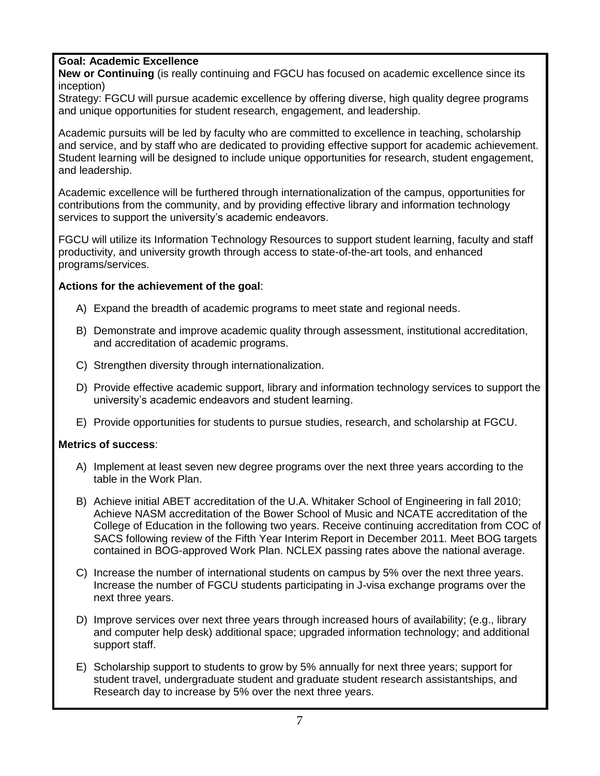### **Goal: Academic Excellence**

**New or Continuing** (is really continuing and FGCU has focused on academic excellence since its inception)

Strategy: FGCU will pursue academic excellence by offering diverse, high quality degree programs and unique opportunities for student research, engagement, and leadership.

Academic pursuits will be led by faculty who are committed to excellence in teaching, scholarship and service, and by staff who are dedicated to providing effective support for academic achievement. Student learning will be designed to include unique opportunities for research, student engagement, and leadership.

Academic excellence will be furthered through internationalization of the campus, opportunities for contributions from the community, and by providing effective library and information technology services to support the university's academic endeavors.

FGCU will utilize its Information Technology Resources to support student learning, faculty and staff productivity, and university growth through access to state-of-the-art tools, and enhanced programs/services.

#### **Actions for the achievement of the goal**:

- A) Expand the breadth of academic programs to meet state and regional needs.
- B) Demonstrate and improve academic quality through assessment, institutional accreditation, and accreditation of academic programs.
- C) Strengthen diversity through internationalization.
- D) Provide effective academic support, library and information technology services to support the university's academic endeavors and student learning.
- E) Provide opportunities for students to pursue studies, research, and scholarship at FGCU.

### **Metrics of success**:

- A) Implement at least seven new degree programs over the next three years according to the table in the Work Plan.
- B) Achieve initial ABET accreditation of the U.A. Whitaker School of Engineering in fall 2010; Achieve NASM accreditation of the Bower School of Music and NCATE accreditation of the College of Education in the following two years. Receive continuing accreditation from COC of SACS following review of the Fifth Year Interim Report in December 2011. Meet BOG targets contained in BOG-approved Work Plan. NCLEX passing rates above the national average.
- C) Increase the number of international students on campus by 5% over the next three years. Increase the number of FGCU students participating in J-visa exchange programs over the next three years.
- D) Improve services over next three years through increased hours of availability; (e.g., library and computer help desk) additional space; upgraded information technology; and additional support staff.
- E) Scholarship support to students to grow by 5% annually for next three years; support for student travel, undergraduate student and graduate student research assistantships, and Research day to increase by 5% over the next three years.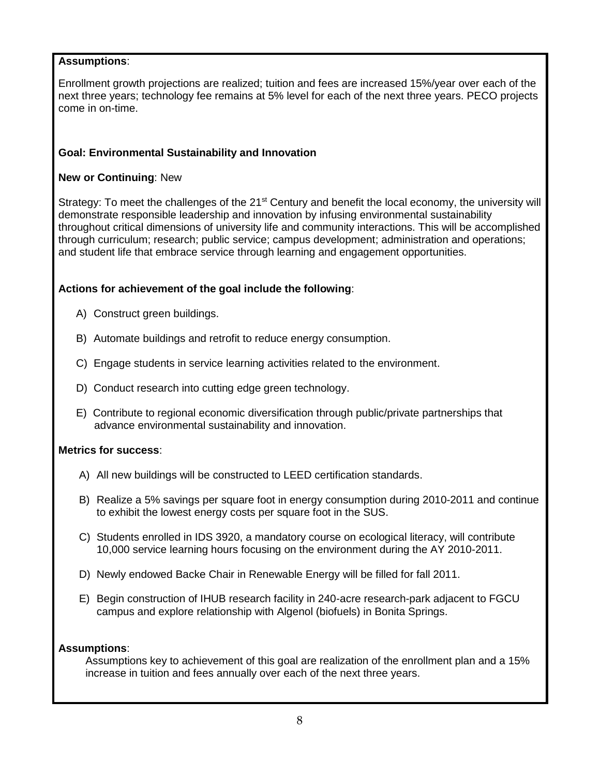### **Assumptions**:

Enrollment growth projections are realized; tuition and fees are increased 15%/year over each of the next three years; technology fee remains at 5% level for each of the next three years. PECO projects come in on-time.

#### **Goal: Environmental Sustainability and Innovation**

#### **New or Continuing**: New

Strategy: To meet the challenges of the 21<sup>st</sup> Century and benefit the local economy, the university will demonstrate responsible leadership and innovation by infusing environmental sustainability throughout critical dimensions of university life and community interactions. This will be accomplished through curriculum; research; public service; campus development; administration and operations; and student life that embrace service through learning and engagement opportunities.

#### **Actions for achievement of the goal include the following**:

- A) Construct green buildings.
- B) Automate buildings and retrofit to reduce energy consumption.
- C) Engage students in service learning activities related to the environment.
- D) Conduct research into cutting edge green technology.
- E) Contribute to regional economic diversification through public/private partnerships that advance environmental sustainability and innovation.

#### **Metrics for success**:

- A) All new buildings will be constructed to LEED certification standards.
- B) Realize a 5% savings per square foot in energy consumption during 2010-2011 and continue to exhibit the lowest energy costs per square foot in the SUS.
- C) Students enrolled in IDS 3920, a mandatory course on ecological literacy, will contribute 10,000 service learning hours focusing on the environment during the AY 2010-2011.
- D) Newly endowed Backe Chair in Renewable Energy will be filled for fall 2011.
- E) Begin construction of IHUB research facility in 240-acre research-park adjacent to FGCU campus and explore relationship with Algenol (biofuels) in Bonita Springs.

#### **Assumptions**:

 Assumptions key to achievement of this goal are realization of the enrollment plan and a 15% increase in tuition and fees annually over each of the next three years.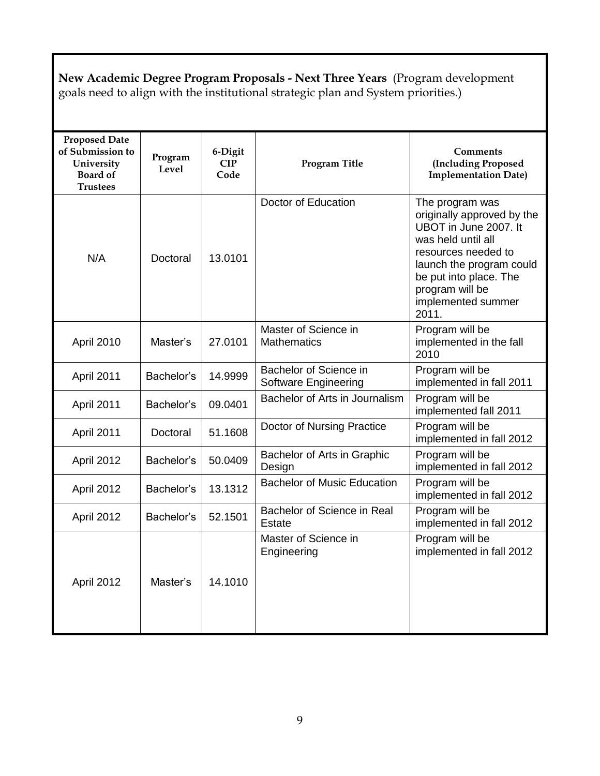**New Academic Degree Program Proposals - Next Three Years** (Program development goals need to align with the institutional strategic plan and System priorities.)

| <b>Proposed Date</b><br>of Submission to<br>University<br><b>Board of</b><br><b>Trustees</b> | Program<br>Level | 6-Digit<br><b>CIP</b><br>Code | <b>Program Title</b>                                  | <b>Comments</b><br>(Including Proposed<br><b>Implementation Date)</b>                                                                                                                                                       |
|----------------------------------------------------------------------------------------------|------------------|-------------------------------|-------------------------------------------------------|-----------------------------------------------------------------------------------------------------------------------------------------------------------------------------------------------------------------------------|
| N/A                                                                                          | Doctoral         | 13.0101                       | Doctor of Education                                   | The program was<br>originally approved by the<br>UBOT in June 2007. It<br>was held until all<br>resources needed to<br>launch the program could<br>be put into place. The<br>program will be<br>implemented summer<br>2011. |
| April 2010                                                                                   | Master's         | 27.0101                       | Master of Science in<br><b>Mathematics</b>            | Program will be<br>implemented in the fall<br>2010                                                                                                                                                                          |
| April 2011                                                                                   | Bachelor's       | 14.9999                       | Bachelor of Science in<br><b>Software Engineering</b> | Program will be<br>implemented in fall 2011                                                                                                                                                                                 |
| April 2011                                                                                   | Bachelor's       | 09.0401                       | Bachelor of Arts in Journalism                        | Program will be<br>implemented fall 2011                                                                                                                                                                                    |
| April 2011                                                                                   | Doctoral         | 51.1608                       | Doctor of Nursing Practice                            | Program will be<br>implemented in fall 2012                                                                                                                                                                                 |
| April 2012                                                                                   | Bachelor's       | 50.0409                       | Bachelor of Arts in Graphic<br>Design                 | Program will be<br>implemented in fall 2012                                                                                                                                                                                 |
| April 2012                                                                                   | Bachelor's       | 13.1312                       | <b>Bachelor of Music Education</b>                    | Program will be<br>implemented in fall 2012                                                                                                                                                                                 |
| April 2012                                                                                   | Bachelor's       | 52.1501                       | Bachelor of Science in Real<br>Estate                 | Program will be<br>implemented in fall 2012                                                                                                                                                                                 |
| April 2012                                                                                   | Master's         | 14.1010                       | Master of Science in<br>Engineering                   | Program will be<br>implemented in fall 2012                                                                                                                                                                                 |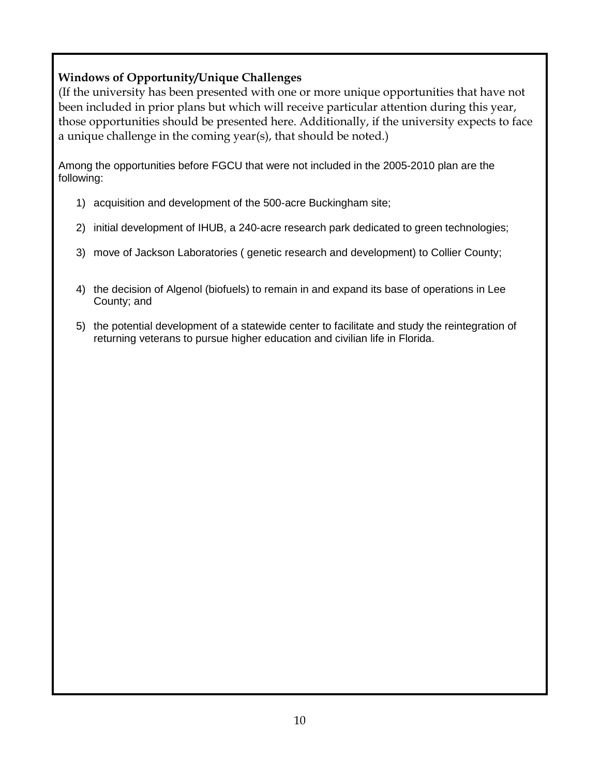## **Windows of Opportunity/Unique Challenges**

(If the university has been presented with one or more unique opportunities that have not been included in prior plans but which will receive particular attention during this year, those opportunities should be presented here. Additionally, if the university expects to face a unique challenge in the coming year(s), that should be noted.)

Among the opportunities before FGCU that were not included in the 2005-2010 plan are the following:

- 1) acquisition and development of the 500-acre Buckingham site;
- 2) initial development of IHUB, a 240-acre research park dedicated to green technologies;
- 3) move of Jackson Laboratories ( genetic research and development) to Collier County;
- 4) the decision of Algenol (biofuels) to remain in and expand its base of operations in Lee County; and
- 5) the potential development of a statewide center to facilitate and study the reintegration of returning veterans to pursue higher education and civilian life in Florida.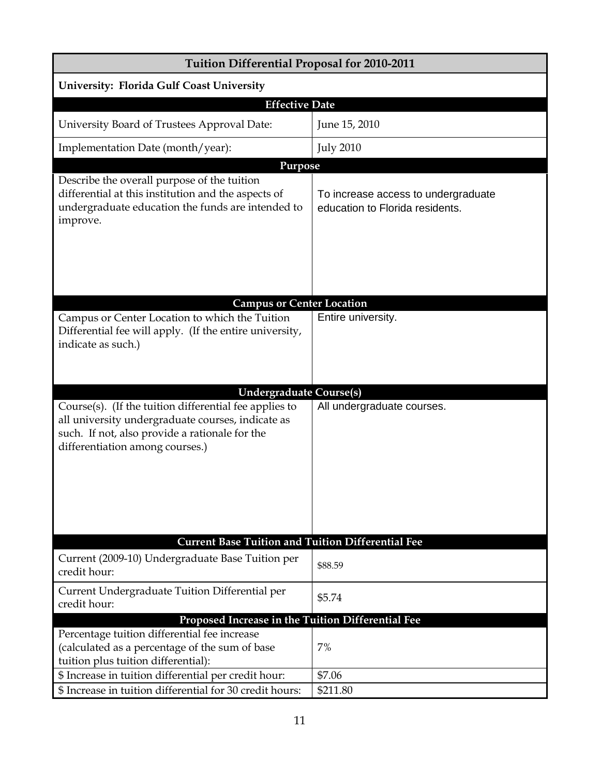| Tuition Differential Proposal for 2010-2011                                                                                                                                                      |                                                                        |  |  |  |  |  |
|--------------------------------------------------------------------------------------------------------------------------------------------------------------------------------------------------|------------------------------------------------------------------------|--|--|--|--|--|
| University: Florida Gulf Coast University                                                                                                                                                        |                                                                        |  |  |  |  |  |
| <b>Effective Date</b>                                                                                                                                                                            |                                                                        |  |  |  |  |  |
| University Board of Trustees Approval Date:                                                                                                                                                      | June 15, 2010                                                          |  |  |  |  |  |
| Implementation Date (month/year):                                                                                                                                                                | <b>July 2010</b>                                                       |  |  |  |  |  |
| Purpose                                                                                                                                                                                          |                                                                        |  |  |  |  |  |
| Describe the overall purpose of the tuition<br>differential at this institution and the aspects of<br>undergraduate education the funds are intended to<br>improve.                              | To increase access to undergraduate<br>education to Florida residents. |  |  |  |  |  |
|                                                                                                                                                                                                  |                                                                        |  |  |  |  |  |
| <b>Campus or Center Location</b><br>Campus or Center Location to which the Tuition                                                                                                               | Entire university.                                                     |  |  |  |  |  |
| Differential fee will apply. (If the entire university,<br>indicate as such.)                                                                                                                    |                                                                        |  |  |  |  |  |
| <b>Undergraduate Course(s)</b>                                                                                                                                                                   |                                                                        |  |  |  |  |  |
| Course(s). (If the tuition differential fee applies to<br>all university undergraduate courses, indicate as<br>such. If not, also provide a rationale for the<br>differentiation among courses.) | All undergraduate courses.                                             |  |  |  |  |  |
|                                                                                                                                                                                                  |                                                                        |  |  |  |  |  |
| <b>Current Base Tuition and Tuition Differential Fee</b>                                                                                                                                         |                                                                        |  |  |  |  |  |
| Current (2009-10) Undergraduate Base Tuition per<br>credit hour:                                                                                                                                 | \$88.59                                                                |  |  |  |  |  |
| Current Undergraduate Tuition Differential per<br>credit hour:                                                                                                                                   | \$5.74                                                                 |  |  |  |  |  |
| Proposed Increase in the Tuition Differential Fee                                                                                                                                                |                                                                        |  |  |  |  |  |
| Percentage tuition differential fee increase<br>(calculated as a percentage of the sum of base<br>tuition plus tuition differential):                                                            | 7%                                                                     |  |  |  |  |  |
| \$ Increase in tuition differential per credit hour:                                                                                                                                             | \$7.06                                                                 |  |  |  |  |  |
| \$ Increase in tuition differential for 30 credit hours:                                                                                                                                         | \$211.80                                                               |  |  |  |  |  |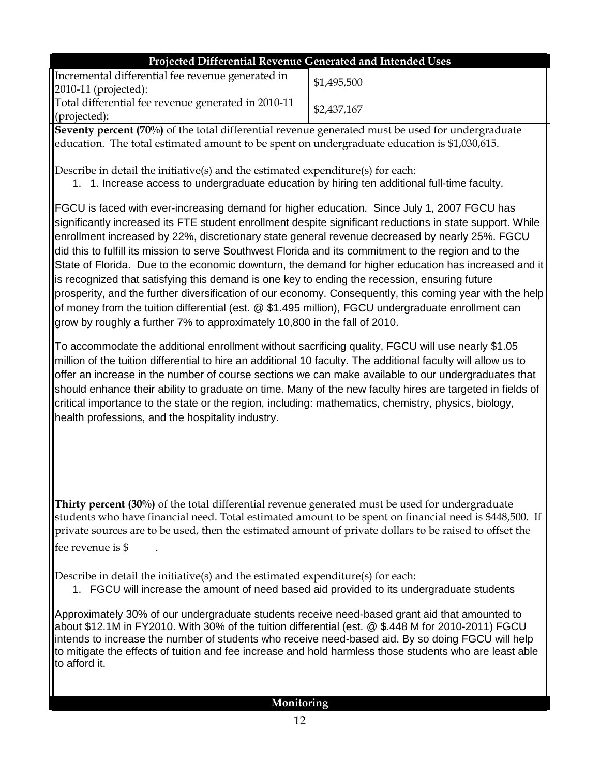| Projected Differential Revenue Generated and Intended Uses                  |             |  |  |  |  |  |
|-----------------------------------------------------------------------------|-------------|--|--|--|--|--|
| Incremental differential fee revenue generated in<br>$2010-11$ (projected): | \$1,495,500 |  |  |  |  |  |
| Total differential fee revenue generated in 2010-11<br>(projected):         | \$2,437,167 |  |  |  |  |  |

**Seventy percent (70%)** of the total differential revenue generated must be used for undergraduate education. The total estimated amount to be spent on undergraduate education is \$1,030,615.

Describe in detail the initiative(s) and the estimated expenditure(s) for each:

1. 1. Increase access to undergraduate education by hiring ten additional full-time faculty.

FGCU is faced with ever-increasing demand for higher education. Since July 1, 2007 FGCU has significantly increased its FTE student enrollment despite significant reductions in state support. While enrollment increased by 22%, discretionary state general revenue decreased by nearly 25%. FGCU did this to fulfill its mission to serve Southwest Florida and its commitment to the region and to the State of Florida. Due to the economic downturn, the demand for higher education has increased and it is recognized that satisfying this demand is one key to ending the recession, ensuring future prosperity, and the further diversification of our economy. Consequently, this coming year with the help of money from the tuition differential (est. @ \$1.495 million), FGCU undergraduate enrollment can grow by roughly a further 7% to approximately 10,800 in the fall of 2010.

To accommodate the additional enrollment without sacrificing quality, FGCU will use nearly \$1.05 million of the tuition differential to hire an additional 10 faculty. The additional faculty will allow us to offer an increase in the number of course sections we can make available to our undergraduates that should enhance their ability to graduate on time. Many of the new faculty hires are targeted in fields of critical importance to the state or the region, including: mathematics, chemistry, physics, biology, health professions, and the hospitality industry.

**Thirty percent (30%)** of the total differential revenue generated must be used for undergraduate students who have financial need. Total estimated amount to be spent on financial need is \$448,500. If private sources are to be used, then the estimated amount of private dollars to be raised to offset the fee revenue is \$ .

Describe in detail the initiative(s) and the estimated expenditure(s) for each:

1. FGCU will increase the amount of need based aid provided to its undergraduate students

Approximately 30% of our undergraduate students receive need-based grant aid that amounted to about \$12.1M in FY2010. With 30% of the tuition differential (est. @ \$.448 M for 2010-2011) FGCU intends to increase the number of students who receive need-based aid. By so doing FGCU will help to mitigate the effects of tuition and fee increase and hold harmless those students who are least able to afford it.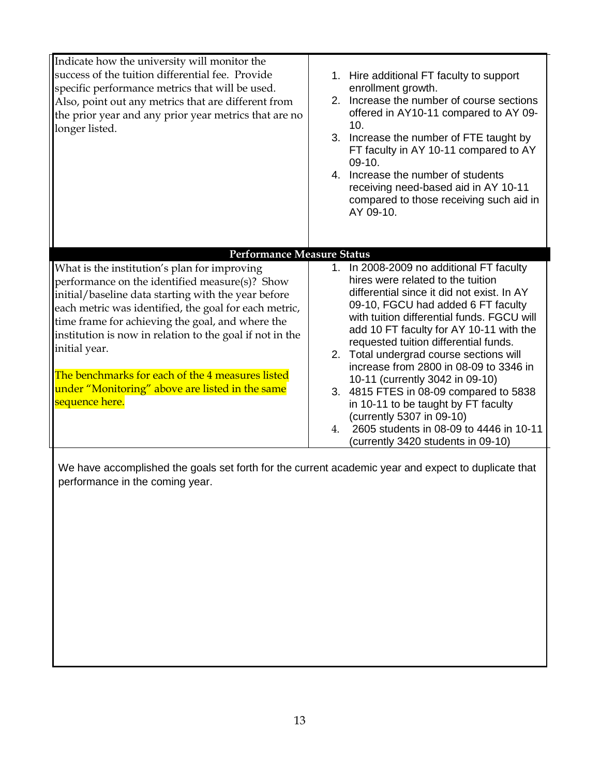| Indicate how the university will monitor the<br>success of the tuition differential fee. Provide<br>specific performance metrics that will be used.<br>Also, point out any metrics that are different from<br>the prior year and any prior year metrics that are no<br>longer listed.                                                                                                                                                                                                                         | 1. Hire additional FT faculty to support<br>enrollment growth.<br>2. Increase the number of course sections<br>offered in AY10-11 compared to AY 09-<br>10.<br>3. Increase the number of FTE taught by<br>FT faculty in AY 10-11 compared to AY<br>$09-10.$<br>4. Increase the number of students<br>receiving need-based aid in AY 10-11<br>compared to those receiving such aid in<br>AY 09-10.                                                                                                                                                                                                                                |
|---------------------------------------------------------------------------------------------------------------------------------------------------------------------------------------------------------------------------------------------------------------------------------------------------------------------------------------------------------------------------------------------------------------------------------------------------------------------------------------------------------------|----------------------------------------------------------------------------------------------------------------------------------------------------------------------------------------------------------------------------------------------------------------------------------------------------------------------------------------------------------------------------------------------------------------------------------------------------------------------------------------------------------------------------------------------------------------------------------------------------------------------------------|
| <b>Performance Measure Status</b><br>What is the institution's plan for improving<br>performance on the identified measure(s)? Show<br>initial/baseline data starting with the year before<br>each metric was identified, the goal for each metric,<br>time frame for achieving the goal, and where the<br>institution is now in relation to the goal if not in the<br>initial year.<br>The benchmarks for each of the 4 measures listed<br>under "Monitoring" above are listed in the same<br>sequence here. | 1. In 2008-2009 no additional FT faculty<br>hires were related to the tuition<br>differential since it did not exist. In AY<br>09-10, FGCU had added 6 FT faculty<br>with tuition differential funds. FGCU will<br>add 10 FT faculty for AY 10-11 with the<br>requested tuition differential funds.<br>2. Total undergrad course sections will<br>increase from 2800 in 08-09 to 3346 in<br>10-11 (currently 3042 in 09-10)<br>3. 4815 FTES in 08-09 compared to 5838<br>in 10-11 to be taught by FT faculty<br>(currently 5307 in 09-10)<br>2605 students in 08-09 to 4446 in 10-11<br>4.<br>(currently 3420 students in 09-10) |

We have accomplished the goals set forth for the current academic year and expect to duplicate that performance in the coming year.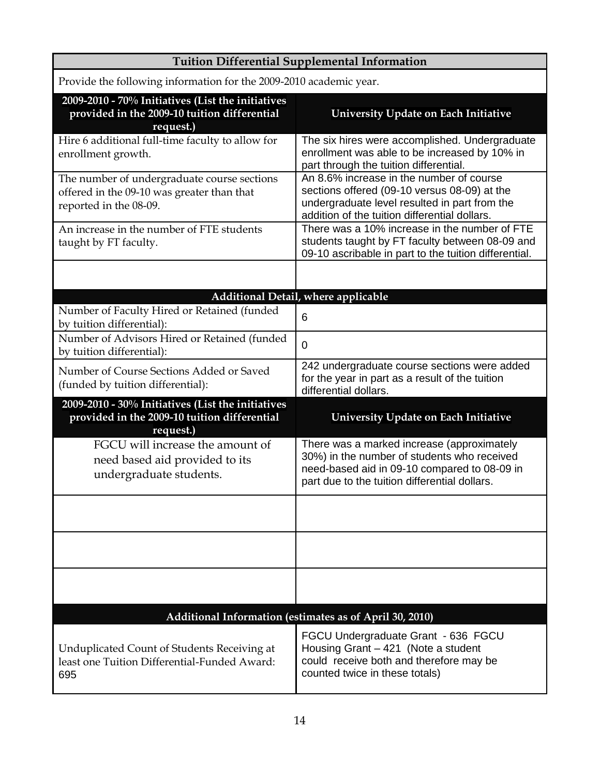| <b>Tuition Differential Supplemental Information</b>                                                                |                                                                                                                                                                                            |  |  |  |  |  |
|---------------------------------------------------------------------------------------------------------------------|--------------------------------------------------------------------------------------------------------------------------------------------------------------------------------------------|--|--|--|--|--|
| Provide the following information for the 2009-2010 academic year.                                                  |                                                                                                                                                                                            |  |  |  |  |  |
| 2009-2010 - 70% Initiatives (List the initiatives<br>provided in the 2009-10 tuition differential<br>request.)      | University Update on Each Initiative                                                                                                                                                       |  |  |  |  |  |
| Hire 6 additional full-time faculty to allow for<br>enrollment growth.                                              | The six hires were accomplished. Undergraduate<br>enrollment was able to be increased by 10% in<br>part through the tuition differential.                                                  |  |  |  |  |  |
| The number of undergraduate course sections<br>offered in the 09-10 was greater than that<br>reported in the 08-09. | An 8.6% increase in the number of course<br>sections offered (09-10 versus 08-09) at the<br>undergraduate level resulted in part from the<br>addition of the tuition differential dollars. |  |  |  |  |  |
| An increase in the number of FTE students<br>taught by FT faculty.                                                  | There was a 10% increase in the number of FTE<br>students taught by FT faculty between 08-09 and<br>09-10 ascribable in part to the tuition differential.                                  |  |  |  |  |  |
|                                                                                                                     |                                                                                                                                                                                            |  |  |  |  |  |
|                                                                                                                     | Additional Detail, where applicable                                                                                                                                                        |  |  |  |  |  |
| Number of Faculty Hired or Retained (funded<br>by tuition differential):                                            | 6                                                                                                                                                                                          |  |  |  |  |  |
| Number of Advisors Hired or Retained (funded<br>by tuition differential):                                           | $\overline{0}$                                                                                                                                                                             |  |  |  |  |  |
| Number of Course Sections Added or Saved<br>(funded by tuition differential):                                       | 242 undergraduate course sections were added<br>for the year in part as a result of the tuition<br>differential dollars.                                                                   |  |  |  |  |  |
| 2009-2010 - 30% Initiatives (List the initiatives<br>provided in the 2009-10 tuition differential<br>request.)      | <b>University Update on Each Initiative</b>                                                                                                                                                |  |  |  |  |  |
| FGCU will increase the amount of<br>need based aid provided to its<br>undergraduate students.                       | There was a marked increase (approximately<br>30%) in the number of students who received<br>need-based aid in 09-10 compared to 08-09 in<br>part due to the tuition differential dollars. |  |  |  |  |  |
|                                                                                                                     |                                                                                                                                                                                            |  |  |  |  |  |
|                                                                                                                     |                                                                                                                                                                                            |  |  |  |  |  |
|                                                                                                                     |                                                                                                                                                                                            |  |  |  |  |  |
|                                                                                                                     | Additional Information (estimates as of April 30, 2010)                                                                                                                                    |  |  |  |  |  |
| Unduplicated Count of Students Receiving at<br>least one Tuition Differential-Funded Award:<br>695                  | FGCU Undergraduate Grant - 636 FGCU<br>Housing Grant - 421 (Note a student<br>could receive both and therefore may be<br>counted twice in these totals)                                    |  |  |  |  |  |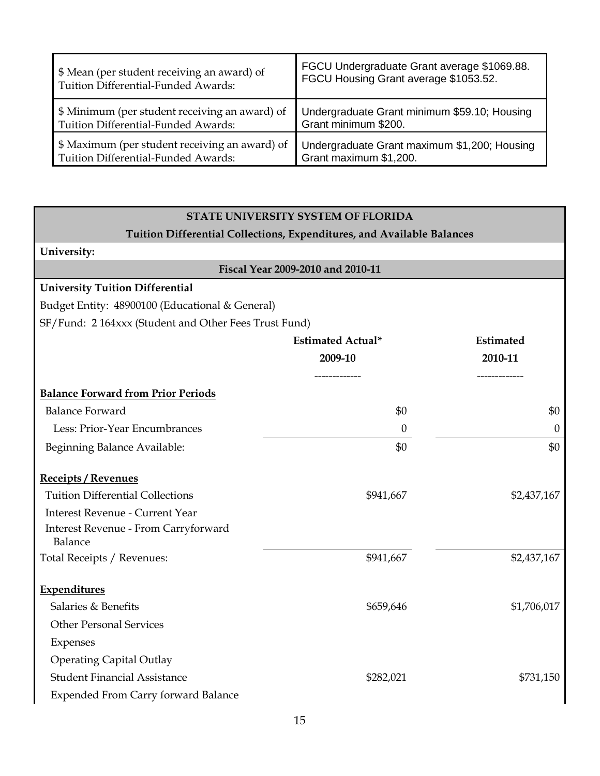| \$ Mean (per student receiving an award) of    | FGCU Undergraduate Grant average \$1069.88.  |
|------------------------------------------------|----------------------------------------------|
| Tuition Differential-Funded Awards:            | FGCU Housing Grant average \$1053.52.        |
| \$ Minimum (per student receiving an award) of | Undergraduate Grant minimum \$59.10; Housing |
| Tuition Differential-Funded Awards:            | Grant minimum \$200.                         |
| \$ Maximum (per student receiving an award) of | Undergraduate Grant maximum \$1,200; Housing |
| Tuition Differential-Funded Awards:            | Grant maximum \$1,200.                       |

#### **STATE UNIVERSITY SYSTEM OF FLORIDA**

# **Tuition Differential Collections, Expenditures, and Available Balances**

#### **University:**

| University:                                          |                                   |             |
|------------------------------------------------------|-----------------------------------|-------------|
|                                                      | Fiscal Year 2009-2010 and 2010-11 |             |
| <b>University Tuition Differential</b>               |                                   |             |
| Budget Entity: 48900100 (Educational & General)      |                                   |             |
| SF/Fund: 2164xxx (Student and Other Fees Trust Fund) |                                   |             |
|                                                      | <b>Estimated Actual*</b>          | Estimated   |
|                                                      | 2009-10                           | 2010-11     |
| <b>Balance Forward from Prior Periods</b>            |                                   |             |
| <b>Balance Forward</b>                               | \$0                               | \$0         |
| Less: Prior-Year Encumbrances                        | $\boldsymbol{0}$                  | $\theta$    |
| Beginning Balance Available:                         | \$0                               | \$0         |
| <b>Receipts / Revenues</b>                           |                                   |             |
| <b>Tuition Differential Collections</b>              | \$941,667                         | \$2,437,167 |
| <b>Interest Revenue - Current Year</b>               |                                   |             |
| Interest Revenue - From Carryforward<br>Balance      |                                   |             |
| Total Receipts / Revenues:                           | \$941,667                         | \$2,437,167 |
| <b>Expenditures</b>                                  |                                   |             |
| Salaries & Benefits                                  | \$659,646                         | \$1,706,017 |
| <b>Other Personal Services</b>                       |                                   |             |
| Expenses                                             |                                   |             |
| <b>Operating Capital Outlay</b>                      |                                   |             |
| <b>Student Financial Assistance</b>                  | \$282,021                         | \$731,150   |
| <b>Expended From Carry forward Balance</b>           |                                   |             |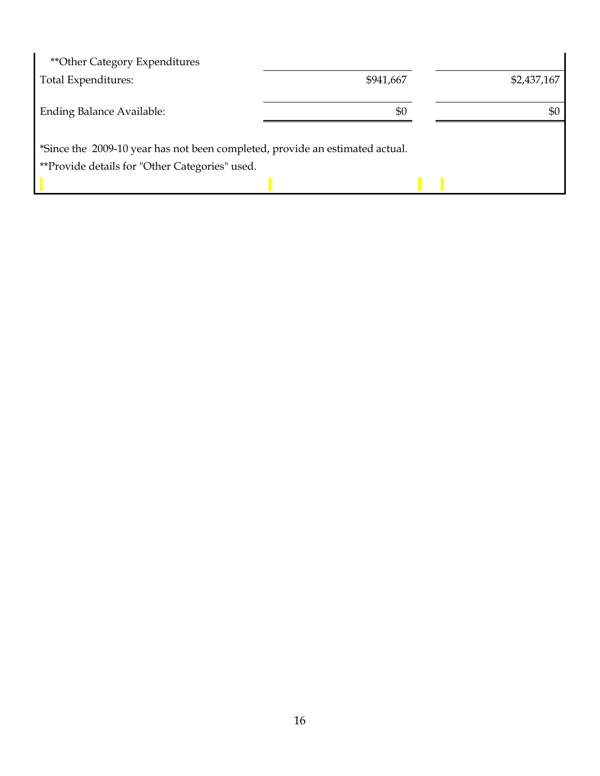| ** Other Category Expenditures                                               |           |             |
|------------------------------------------------------------------------------|-----------|-------------|
| Total Expenditures:                                                          | \$941,667 | \$2,437,167 |
|                                                                              | \$0       | \$0         |
| <b>Ending Balance Available:</b>                                             |           |             |
| *Since the 2009-10 year has not been completed, provide an estimated actual. |           |             |
| **Provide details for "Other Categories" used.                               |           |             |
|                                                                              |           |             |

 $\overline{a}$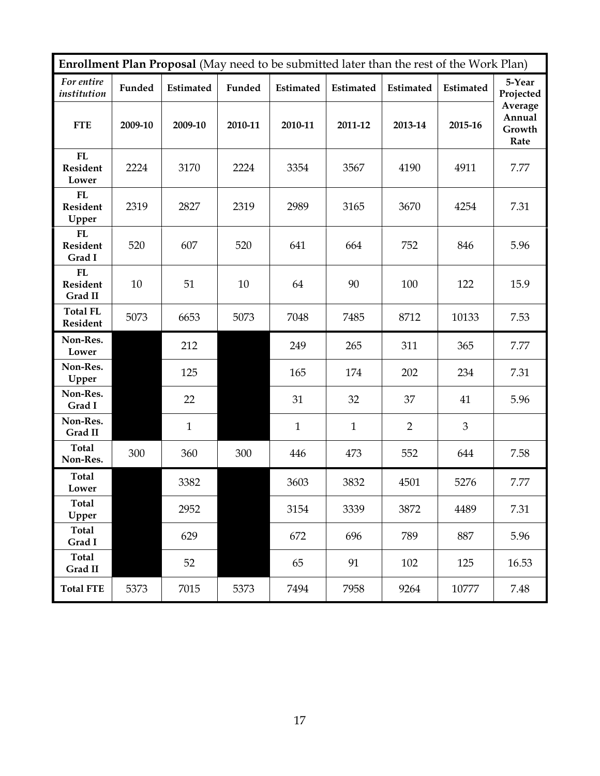| Enrollment Plan Proposal (May need to be submitted later than the rest of the Work Plan) |         |              |         |              |              |                |           |                                     |
|------------------------------------------------------------------------------------------|---------|--------------|---------|--------------|--------------|----------------|-----------|-------------------------------------|
| For entire<br>institution                                                                | Funded  | Estimated    | Funded  | Estimated    | Estimated    | Estimated      | Estimated | 5-Year<br>Projected                 |
| <b>FTE</b>                                                                               | 2009-10 | 2009-10      | 2010-11 | 2010-11      | 2011-12      | 2013-14        | 2015-16   | Average<br>Annual<br>Growth<br>Rate |
| ${\bf FL}$<br>Resident<br>Lower                                                          | 2224    | 3170         | 2224    | 3354         | 3567         | 4190           | 4911      | 7.77                                |
| FL<br>Resident<br>Upper                                                                  | 2319    | 2827         | 2319    | 2989         | 3165         | 3670           | 4254      | 7.31                                |
| FL<br>Resident<br>Grad I                                                                 | 520     | 607          | 520     | 641          | 664          | 752            | 846       | 5.96                                |
| FL<br>Resident<br>Grad II                                                                | 10      | 51           | 10      | 64           | 90           | 100            | 122       | 15.9                                |
| <b>Total FL</b><br>Resident                                                              | 5073    | 6653         | 5073    | 7048         | 7485         | 8712           | 10133     | 7.53                                |
| Non-Res.<br>Lower                                                                        |         | 212          |         | 249          | 265          | 311            | 365       | 7.77                                |
| Non-Res.<br>Upper                                                                        |         | 125          |         | 165          | 174          | 202            | 234       | 7.31                                |
| Non-Res.<br>Grad I                                                                       |         | 22           |         | 31           | 32           | 37             | 41        | 5.96                                |
| Non-Res.<br>Grad II                                                                      |         | $\mathbf{1}$ |         | $\mathbf{1}$ | $\mathbf{1}$ | $\overline{2}$ | 3         |                                     |
| <b>Total</b><br>Non-Res.                                                                 | 300     | 360          | 300     | 446          | 473          | 552            | 644       | 7.58                                |
| <b>Total</b><br>Lower                                                                    |         | 3382         |         | 3603         | 3832         | 4501           | 5276      | 7.77                                |
| Total<br>Upper                                                                           |         | 2952         |         | 3154         | 3339         | 3872           | 4489      | 7.31                                |
| <b>Total</b><br>Grad I                                                                   |         | 629          |         | 672          | 696          | 789            | 887       | 5.96                                |
| <b>Total</b><br>Grad II                                                                  |         | 52           |         | 65           | 91           | 102            | 125       | 16.53                               |
| <b>Total FTE</b>                                                                         | 5373    | 7015         | 5373    | 7494         | 7958         | 9264           | 10777     | 7.48                                |